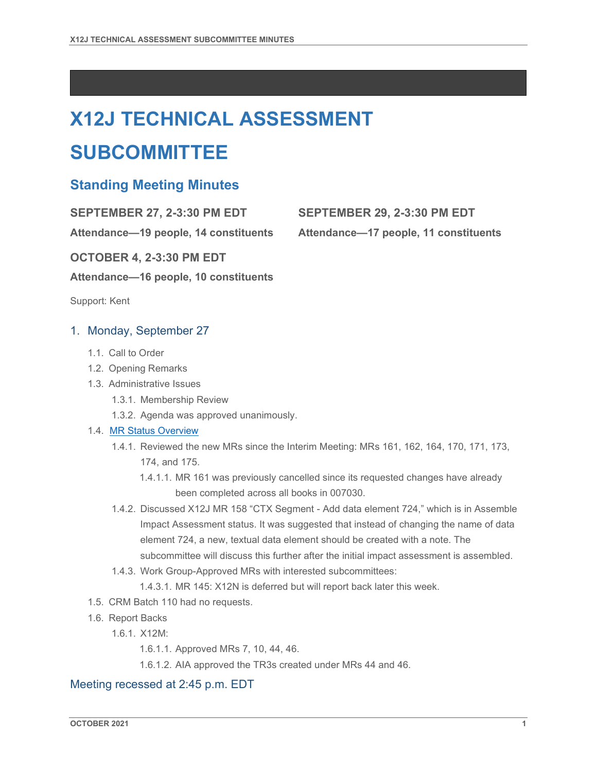# **X12J TECHNICAL ASSESSMENT**

## **SUBCOMMITTEE**

### **Standing Meeting Minutes**

**SEPTEMBER 27, 2-3:30 PM EDT SEPTEMBER 29, 2-3:30 PM EDT**

**Attendance—19 people, 14 constituents Attendance—17 people, 11 constituents**

**OCTOBER 4, 2-3:30 PM EDT**

**Attendance—16 people, 10 constituents**

Support: Kent

#### 1. Monday, September 27

- 1.1. Call to Order
- 1.2. Opening Remarks
- 1.3. Administrative Issues
	- 1.3.1. Membership Review
	- 1.3.2. Agenda was approved unanimously.

#### 1.4. [MR Status Overview](https://mr.x12.org/)

- 1.4.1. Reviewed the new MRs since the Interim Meeting: MRs 161, 162, 164, 170, 171, 173, 174, and 175.
	- 1.4.1.1. MR 161 was previously cancelled since its requested changes have already been completed across all books in 007030.
- 1.4.2. Discussed X12J MR 158 "CTX Segment Add data element 724," which is in Assemble Impact Assessment status. It was suggested that instead of changing the name of data element 724, a new, textual data element should be created with a note. The subcommittee will discuss this further after the initial impact assessment is assembled.
- 1.4.3. Work Group-Approved MRs with interested subcommittees:

1.4.3.1. MR 145: X12N is deferred but will report back later this week.

- 1.5. CRM Batch 110 had no requests.
- 1.6. Report Backs
	- 1.6.1. X12M:

1.6.1.1. Approved MRs 7, 10, 44, 46.

1.6.1.2. AIA approved the TR3s created under MRs 44 and 46.

#### Meeting recessed at 2:45 p.m. EDT